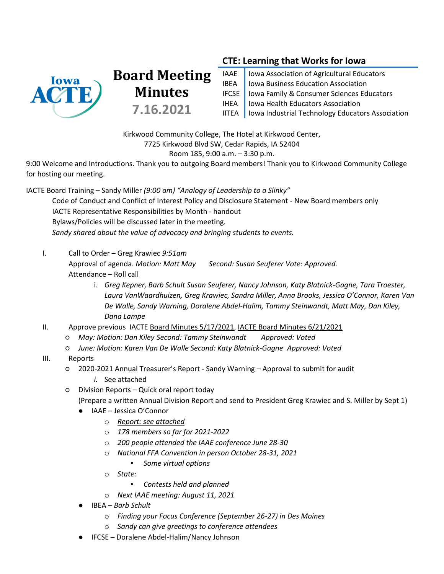

# **CTE: Learning that Works for Iowa**

| IAAE   Iowa Association of Agricultural Educators                                             |
|-----------------------------------------------------------------------------------------------|
| IBEA   Iowa Business Education Association                                                    |
| IFCSE   Iowa Family & Consumer Sciences Educators<br>IHEA   Iowa Health Educators Association |
|                                                                                               |
| IITEA   Iowa Industrial Technology Educators Association                                      |

Kirkwood Community College, The Hotel at Kirkwood Center, 7725 Kirkwood Blvd SW, Cedar Rapids, IA 52404

#### Room 185, 9:00 a.m. – 3:30 p.m.

9:00 Welcome and Introductions. Thank you to outgoing Board members! Thank you to Kirkwood Community College for hosting our meeting.

IACTE Board Training – Sandy Miller *(9:00 am) "Analogy of Leadership to a Slinky"* Code of Conduct and Conflict of Interest Policy and Disclosure Statement - New Board members only IACTE Representative Responsibilities by Month - handout Bylaws/Policies will be discussed later in the meeting. *Sandy shared about the value of advocacy and bringing students to events.*

#### I. Call to Order – Greg Krawiec *9:51am*

Approval of agenda. *Motion: Matt May Second: Susan Seuferer Vote: Approved.* Attendance – Roll call

> i. *Greg Kepner, Barb Schult Susan Seuferer, Nancy Johnson, Katy Blatnick-Gagne, Tara Troester, Laura VanWaardhuizen, Greg Krawiec, Sandra Miller, Anna Brooks, Jessica O'Connor, Karen Van De Walle, Sandy Warning, Doralene Abdel-Halim, Tammy Steinwandt, Matt May, Dan Kiley, Dana Lampe*

II. Approve previous IACTE Board [Minutes 5/17/2021,](https://drive.google.com/file/d/1EeXcjJ84cpdIDoCAUkh0WzKxDQdjL1UU/view?usp=sharing) [IACTE Board Minutes 6/21/2021](https://docs.google.com/document/d/1Iw86Rk4qdgn8ZEq47s2UuIjEbW9FI59w/edit#heading=h.gjdgxs)

- *May: Motion: Dan Kiley Second: Tammy Steinwandt Approved: Voted*
- *June: Motion: Karen Van De Walle Second: Katy Blatnick-Gagne Approved: Voted*
- III. Reports
	- 2020-2021 Annual Treasurer's Report Sandy Warning Approval to submit for audit
		- *i.* See attached
	- Division Reports Quick oral report today

**Board Meeting**

**Minutes**

**7.16.2021**

(Prepare a written Annual Division Report and send to President Greg Krawiec and S. Miller by Sept 1)

- IAAE Jessica O'Connor
	- o *[Report:](https://docs.google.com/document/d/11HiOs1pBVAps780YNpX_lyZSVzUcuSFW4T53W2f0FnI/edit?usp=sharing) see attached*
	- o *178 members so far for 2021-2022*
	- o *200 people attended the IAAE conference June 28-30*
	- o *National FFA Convention in person October 28-31, 2021*
		- *Some virtual options*
	- o *State:* 
		- *Contests held and planned*
	- o *Next IAAE meeting: August 11, 2021*
- IBEA *Barb Schult*
	- o *Finding your Focus Conference (September 26-27) in Des Moines*
	- o *Sandy can give greetings to conference attendees*
- IFCSE Doralene Abdel-Halim/Nancy Johnson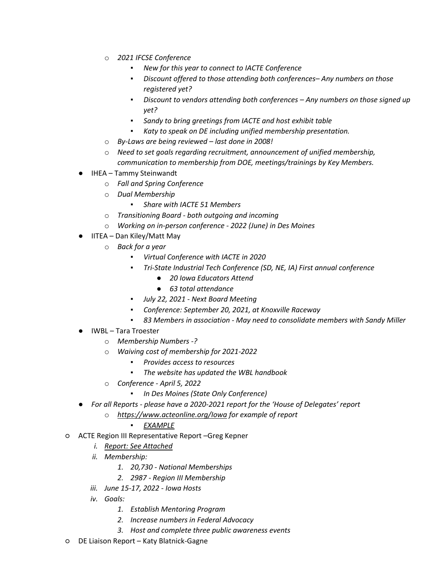- o *2021 IFCSE Conference*
	- *New for this year to connect to IACTE Conference*
	- *Discount offered to those attending both conferences– Any numbers on those registered yet?*
	- *Discount to vendors attending both conferences – Any numbers on those signed up yet?*
	- *Sandy to bring greetings from IACTE and host exhibit table*
	- *Katy to speak on DE including unified membership presentation.*
- o *By-Laws are being reviewed – last done in 2008!*
- o *Need to set goals regarding recruitment, announcement of unified membership, communication to membership from DOE, meetings/trainings by Key Members.*
- IHEA Tammy Steinwandt
	- o *Fall and Spring Conference*
	- o *Dual Membership*
		- *Share with IACTE 51 Members*
	- o *Transitioning Board - both outgoing and incoming*
	- o *Working on in-person conference - 2022 (June) in Des Moines*
- IITEA Dan Kiley/Matt May
	- o *Back for a year*
		- *Virtual Conference with IACTE in 2020*
		- *Tri-State Industrial Tech Conference (SD, NE, IA) First annual conference*
			- *20 Iowa Educators Attend*
			- *63 total attendance*
		- *July 22, 2021 - Next Board Meeting*
		- *Conference: September 20, 2021, at Knoxville Raceway*
		- *83 Members in association - May need to consolidate members with Sandy Miller*
- IWBL Tara Troester
	- o *Membership Numbers -?*
	- o *Waiving cost of membership for 2021-2022*
		- *Provides access to resources*
		- *The website has updated the WBL handbook*
	- o *Conference - April 5, 2022*
		- *In Des Moines (State Only Conference)*
- *For all Reports - please have a 2020-2021 report for the 'House of Delegates' report*
	- o *[https://www.acteonline.org/Iowa](https://www.acteonline.org/iowa-association-for-career-and-technical-education/iowa-acte-board-and-committees/iowa-acte-meeting-minutes/#18) for example of report*

## ▪ *[EXAMPLE](https://www.acteonline.org/wp-content/uploads/2019/11/Annual-Assembly-of-Delegates-Minutes-9.17.18-with-reports.pdf)*

- ACTE Region III Representative Report –Greg Kepner
	- *i. [Report:](https://drive.google.com/file/d/1y8qIeMdqKxSgYBEfS5Dr4S4w2JrEyzJG/view?usp=sharing) See Attached*
	- *ii. Membership:*
		- *1. 20,730 - National Memberships*
		- *2. 2987 - Region III Membership*
	- *iii. June 15-17, 2022 - Iowa Hosts*
	- *iv. Goals:*
		- *1. Establish Mentoring Program*
		- *2. Increase numbers in Federal Advocacy*
		- *3. Host and complete three public awareness events*
- DE Liaison Report Katy Blatnick-Gagne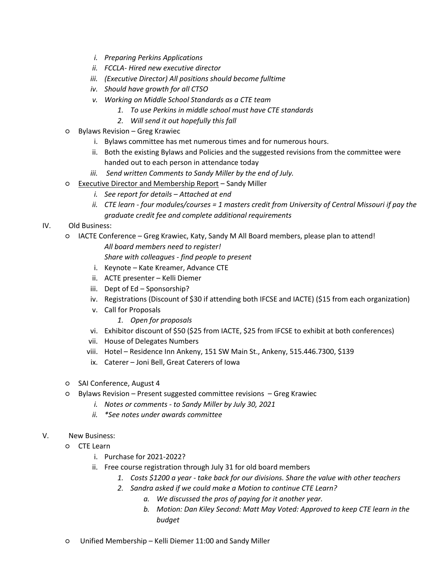- *i. Preparing Perkins Applications*
- *ii. FCCLA- Hired new executive director*
- *iii. (Executive Director) All positions should become fulltime*
- *iv. Should have growth for all CTSO*
- *v. Working on Middle School Standards as a CTE team*
	- *1. To use Perkins in middle school must have CTE standards*
	- *2. Will send it out hopefully this fall*
- Bylaws Revision Greg Krawiec
	- i. Bylaws committee has met numerous times and for numerous hours.
	- ii. Both the existing Bylaws and Policies and the suggested revisions from the committee were handed out to each person in attendance today
	- *iii. Send written Comments to Sandy Miller by the end of July.*
- [Executive Director and Membership Report](https://docs.google.com/document/d/1Khc7jVq1f0XAc4ScxL0_OKBIki17UhCj/edit) Sandy Miller
	- *i. See report for details – Attached at end*
	- *ii. CTE learn - four modules/courses = 1 masters credit from University of Central Missouri if pay the graduate credit fee and complete additional requirements*

## IV. Old Business:

○ IACTE Conference – Greg Krawiec, Katy, Sandy M All Board members, please plan to attend! *All board members need to register!*

*Share with colleagues - find people to present*

- i. Keynote Kate Kreamer, Advance CTE
- ii. ACTE presenter Kelli Diemer
- iii. Dept of Ed Sponsorship?
- iv. Registrations (Discount of \$30 if attending both IFCSE and IACTE) (\$15 from each organization)
- v. Call for Proposals
	- *1. Open for proposals*
- vi. Exhibitor discount of \$50 (\$25 from IACTE, \$25 from IFCSE to exhibit at both conferences)
- vii. House of Delegates Numbers
- viii. Hotel Residence Inn Ankeny, 151 SW Main St., Ankeny, 515.446.7300, \$139
- ix. Caterer Joni Bell, Great Caterers of Iowa
- SAI Conference, August 4
- Bylaws Revision Present suggested committee revisions Greg Krawiec
	- *i. Notes or comments - to Sandy Miller by July 30, 2021*
	- *ii. \*See notes under awards committee*

## V. New Business:

- CTE Learn
	- i. Purchase for 2021-2022?
	- ii. Free course registration through July 31 for old board members
		- *1. Costs \$1200 a year - take back for our divisions. Share the value with other teachers*
		- *2. Sandra asked if we could make a Motion to continue CTE Learn?* 
			- *a. We discussed the pros of paying for it another year.*
			- *b. Motion: Dan Kiley Second: Matt May Voted: Approved to keep CTE learn in the budget*
- Unified Membership Kelli Diemer 11:00 and Sandy Miller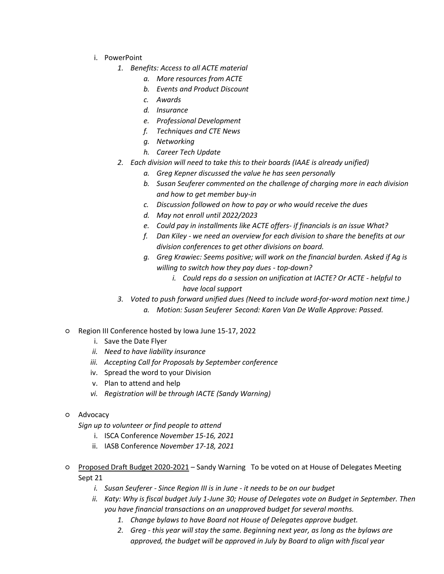- i. PowerPoint
	- *1. Benefits: Access to all ACTE material*
		- *a. More resources from ACTE*
		- *b. Events and Product Discount*
		- *c. Awards*
		- *d. Insurance*
		- *e. Professional Development*
		- *f. Techniques and CTE News*
		- *g. Networking*
		- *h. Career Tech Update*
	- *2. Each division will need to take this to their boards (IAAE is already unified)*
		- *a. Greg Kepner discussed the value he has seen personally*
		- *b. Susan Seuferer commented on the challenge of charging more in each division and how to get member buy-in*
		- *c. Discussion followed on how to pay or who would receive the dues*
		- *d. May not enroll until 2022/2023*
		- *e. Could pay in installments like ACTE offers- if financials is an issue What?*
		- *f. Dan Kiley - we need an overview for each division to share the benefits at our division conferences to get other divisions on board.*
		- *g. Greg Krawiec: Seems positive; will work on the financial burden. Asked if Ag is willing to switch how they pay dues - top-down?*
			- *i. Could reps do a session on unification at IACTE? Or ACTE - helpful to have local support*
	- *3. Voted to push forward unified dues (Need to include word-for-word motion next time.)*
		- *a. Motion: Susan Seuferer Second: Karen Van De Walle Approve: Passed.*
- Region III Conference hosted by Iowa June 15-17, 2022
	- i. Save the Date Flyer
	- *ii. Need to have liability insurance*
	- *iii. Accepting Call for Proposals by September conference*
	- iv. Spread the word to your Division
	- v. Plan to attend and help
	- *vi. Registration will be through IACTE (Sandy Warning)*
- Advocacy

*Sign up to volunteer or find people to attend*

- i. ISCA Conference *November 15-16, 2021*
- ii. IASB Conference *November 17-18, 2021*
- [Proposed Draft Budget 2020-2021](https://drive.google.com/file/d/15du8YLoxUerMxNFMyamHsvSkOTIhqH50/view?usp=sharing) Sandy Warning To be voted on at House of Delegates Meeting Sept 21
	- *i. Susan Seuferer - Since Region III is in June - it needs to be on our budget*
	- *ii. Katy: Why is fiscal budget July 1-June 30; House of Delegates vote on Budget in September. Then you have financial transactions on an unapproved budget for several months.* 
		- *1. Change bylaws to have Board not House of Delegates approve budget.*
		- *2. Greg - this year will stay the same. Beginning next year, as long as the bylaws are approved, the budget will be approved in July by Board to align with fiscal year*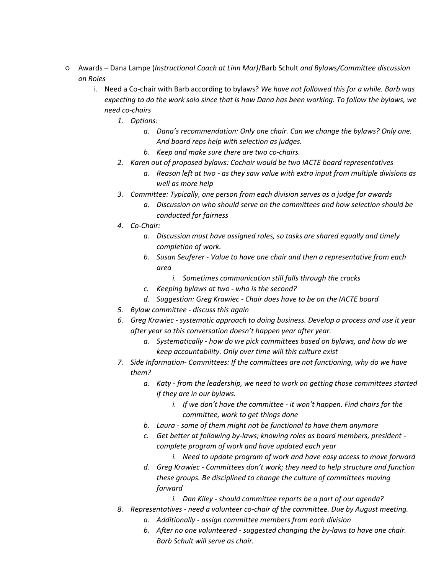- Awards Dana Lampe (*Instructional Coach at Linn Mar)*/Barb Schult *and Bylaws/Committee discussion on Roles*
	- i. Need a Co-chair with Barb according to bylaws? *We have not followed this for a while. Barb was expecting to do the work solo since that is how Dana has been working. To follow the bylaws, we need co-chairs*
		- *1. Options:* 
			- *a. Dana's recommendation: Only one chair. Can we change the bylaws? Only one. And board reps help with selection as judges.*
			- *b. Keep and make sure there are two co-chairs.*
		- *2. Karen out of proposed bylaws: Cochair would be two IACTE board representatives* 
			- *a. Reason left at two - as they saw value with extra input from multiple divisions as well as more help*
		- *3. Committee: Typically, one person from each division serves as a judge for awards*
			- *a. Discussion on who should serve on the committees and how selection should be conducted for fairness*
		- *4. Co-Chair:*
			- *a. Discussion must have assigned roles, so tasks are shared equally and timely completion of work.*
			- *b. Susan Seuferer - Value to have one chair and then a representative from each area*
				- *i. Sometimes communication still falls through the cracks*
			- *c. Keeping bylaws at two - who is the second?*
			- *d. Suggestion: Greg Krawiec - Chair does have to be on the IACTE board*
		- *5. Bylaw committee - discuss this again*
		- *6. Greg Krawiec - systematic approach to doing business. Develop a process and use it year after year so this conversation doesn't happen year after year.*
			- *a. Systematically - how do we pick committees based on bylaws, and how do we keep accountability. Only over time will this culture exist*
		- *7. Side Information- Committees: If the committees are not functioning, why do we have them?* 
			- *a. Katy - from the leadership, we need to work on getting those committees started if they are in our bylaws.*
				- *i. If we don't have the committee - it won't happen. Find chairs for the committee, work to get things done*
			- *b. Laura - some of them might not be functional to have them anymore*
			- *c. Get better at following by-laws; knowing roles as board members, president complete program of work and have updated each year*
				- *i. Need to update program of work and have easy access to move forward*
			- *d. Greg Krawiec - Committees don't work; they need to help structure and function these groups. Be disciplined to change the culture of committees moving forward*
				- *i. Dan Kiley - should committee reports be a part of our agenda?*
		- *8. Representatives - need a volunteer co-chair of the committee. Due by August meeting.*
			- *a. Additionally - assign committee members from each division*
			- *b. After no one volunteered - suggested changing the by-laws to have one chair. Barb Schult will serve as chair.*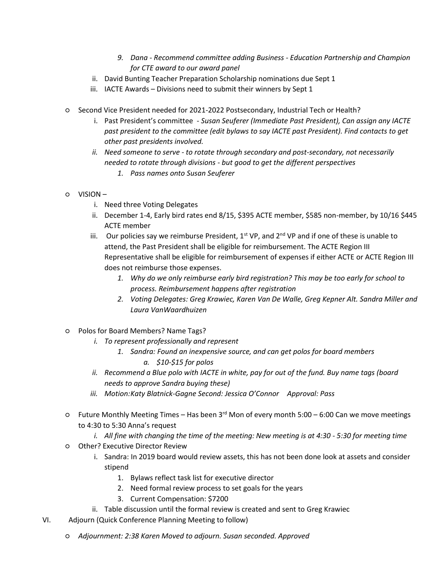- *9. Dana - Recommend committee adding Business - Education Partnership and Champion for CTE award to our award panel*
- ii. David Bunting Teacher Preparation Scholarship nominations due Sept 1
- iii. IACTE Awards Divisions need to submit their winners by Sept 1
- Second Vice President needed for 2021-2022 Postsecondary, Industrial Tech or Health?
	- i. Past President's committee *Susan Seuferer (Immediate Past President), Can assign any IACTE past president to the committee (edit bylaws to say IACTE past President). Find contacts to get other past presidents involved.*
	- *ii. Need someone to serve - to rotate through secondary and post-secondary, not necessarily needed to rotate through divisions - but good to get the different perspectives*
		- *1. Pass names onto Susan Seuferer*
- VISION
	- i. Need three Voting Delegates
	- ii. December 1-4, Early bird rates end 8/15, \$395 ACTE member, \$585 non-member, by 10/16 \$445 ACTE member
	- iii. Our policies say we reimburse President,  $1^{st}$  VP, and  $2^{nd}$  VP and if one of these is unable to attend, the Past President shall be eligible for reimbursement. The ACTE Region III Representative shall be eligible for reimbursement of expenses if either ACTE or ACTE Region III does not reimburse those expenses.
		- *1. Why do we only reimburse early bird registration? This may be too early for school to process. Reimbursement happens after registration*
		- *2. Voting Delegates: Greg Krawiec, Karen Van De Walle, Greg Kepner Alt. Sandra Miller and Laura VanWaardhuizen*
- Polos for Board Members? Name Tags?
	- *i. To represent professionally and represent*
		- *1. Sandra: Found an inexpensive source, and can get polos for board members a. \$10-\$15 for polos*
	- *ii. Recommend a Blue polo with IACTE in white, pay for out of the fund. Buy name tags (board needs to approve Sandra buying these)*
	- *iii. Motion:Katy Blatnick-Gagne Second: Jessica O'Connor Approval: Pass*
- $\circ$  Future Monthly Meeting Times Has been 3<sup>rd</sup> Mon of every month 5:00 6:00 Can we move meetings to 4:30 to 5:30 Anna's request
	- *i. All fine with changing the time of the meeting: New meeting is at 4:30 - 5:30 for meeting time*
- Other? Executive Director Review
	- i. Sandra: In 2019 board would review assets, this has not been done look at assets and consider stipend
		- 1. Bylaws reflect task list for executive director
		- 2. Need formal review process to set goals for the years
		- 3. Current Compensation: \$7200
	- ii. Table discussion until the formal review is created and sent to Greg Krawiec
- VI. Adjourn (Quick Conference Planning Meeting to follow)
	- *Adjournment: 2:38 Karen Moved to adjourn. Susan seconded. Approved*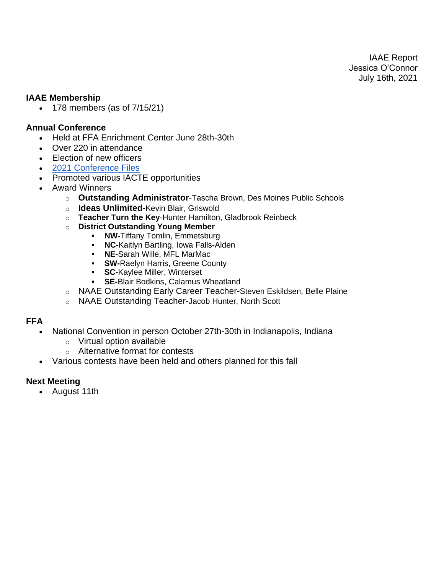IAAE Report Jessica O'Connor July 16th, 2021

## **IAAE Membership**

• 178 members (as of 7/15/21)

## **Annual Conference**

- Held at FFA Enrichment Center June 28th-30th
- Over 220 in attendance
- Election of new officers
- [2021 Conference Files](https://drive.google.com/drive/folders/1HLBCpK7QbYxHaEww3vt_1thtiDjjugNE)
- Promoted various IACTE opportunities
- Award Winners
	- o **Outstanding Administrator**-Tascha Brown, Des Moines Public Schools
	- o **Ideas Unlimited**-Kevin Blair, Griswold
	- o **Teacher Turn the Key**-Hunter Hamilton, Gladbrook Reinbeck
	- o **District Outstanding Young Member**
		- **NW-**Tiffany Tomlin, Emmetsburg
		- **NC-**Kaitlyn Bartling, Iowa Falls-Alden
		- **NE-**Sarah Wille, MFL MarMac
		- **SW-Raelyn Harris, Greene County**<br>• SC-Kavlee Miller, Winterset
		- **SC-Kaylee Miller, Winterset**
		- **SE-**Blair Bodkins, Calamus Wheatland
	- o NAAE Outstanding Early Career Teacher-Steven Eskildsen, Belle Plaine
	- o NAAE Outstanding Teacher-Jacob Hunter, North Scott

## **FFA**

- National Convention in person October 27th-30th in Indianapolis, Indiana
	- o Virtual option available
	- o Alternative format for contests
- Various contests have been held and others planned for this fall

## **Next Meeting**

• August 11th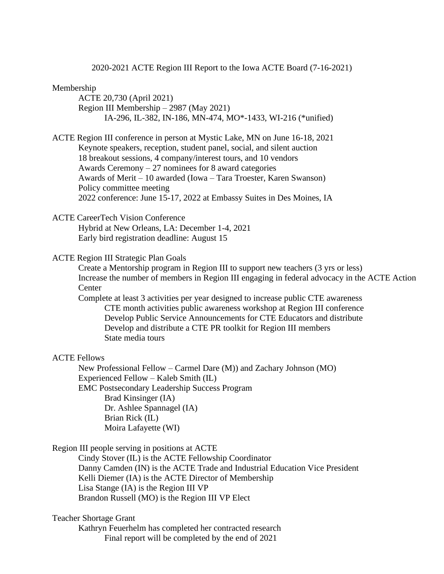2020-2021 ACTE Region III Report to the Iowa ACTE Board (7-16-2021)

#### Membership

ACTE 20,730 (April 2021) Region III Membership – 2987 (May 2021) IA-296, IL-382, IN-186, MN-474, MO\*-1433, WI-216 (\*unified)

ACTE Region III conference in person at Mystic Lake, MN on June 16-18, 2021 Keynote speakers, reception, student panel, social, and silent auction 18 breakout sessions, 4 company/interest tours, and 10 vendors Awards Ceremony  $-27$  nominees for 8 award categories Awards of Merit – 10 awarded (Iowa – Tara Troester, Karen Swanson) Policy committee meeting 2022 conference: June 15-17, 2022 at Embassy Suites in Des Moines, IA

#### ACTE CareerTech Vision Conference

Hybrid at New Orleans, LA: December 1-4, 2021 Early bird registration deadline: August 15

#### ACTE Region III Strategic Plan Goals

Create a Mentorship program in Region III to support new teachers (3 yrs or less) Increase the number of members in Region III engaging in federal advocacy in the ACTE Action **Center** 

Complete at least 3 activities per year designed to increase public CTE awareness CTE month activities public awareness workshop at Region III conference Develop Public Service Announcements for CTE Educators and distribute Develop and distribute a CTE PR toolkit for Region III members State media tours

#### ACTE Fellows

New Professional Fellow – Carmel Dare (M)) and Zachary Johnson (MO) Experienced Fellow – Kaleb Smith (IL) EMC Postsecondary Leadership Success Program Brad Kinsinger (IA) Dr. Ashlee Spannagel (IA) Brian Rick (IL) Moira Lafayette (WI)

Region III people serving in positions at ACTE

Cindy Stover (IL) is the ACTE Fellowship Coordinator Danny Camden (IN) is the ACTE Trade and Industrial Education Vice President Kelli Diemer (IA) is the ACTE Director of Membership Lisa Stange (IA) is the Region III VP Brandon Russell (MO) is the Region III VP Elect

## Teacher Shortage Grant

Kathryn Feuerhelm has completed her contracted research Final report will be completed by the end of 2021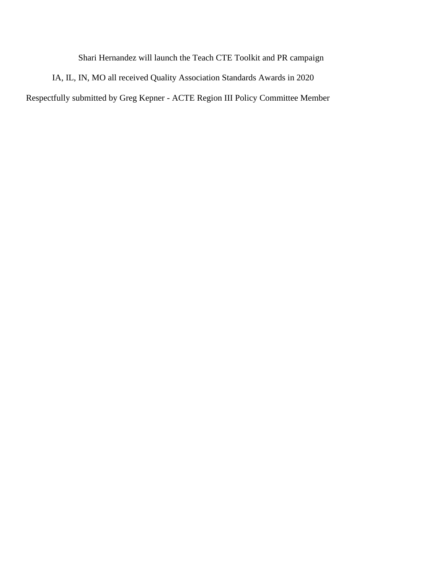Shari Hernandez will launch the Teach CTE Toolkit and PR campaign

IA, IL, IN, MO all received Quality Association Standards Awards in 2020 Respectfully submitted by Greg Kepner - ACTE Region III Policy Committee Member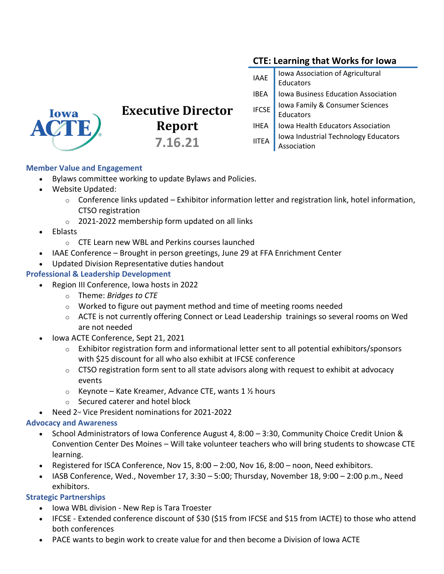# **CTE: Learning that Works for Iowa**

| <b>IAAE</b>  | Iowa Association of Agricultural<br>Educators |
|--------------|-----------------------------------------------|
| <b>IBEA</b>  | Iowa Business Education Association           |
| <b>IFCSE</b> | Iowa Family & Consumer Sciences               |
|              | Educators                                     |
| <b>IHEA</b>  | Iowa Health Educators Association             |
| <b>IITEA</b> | Iowa Industrial Technology Educators          |
|              | Association                                   |



# **Executive Director Report 7.16.21**

**Member Value and Engagement**

- Bylaws committee working to update Bylaws and Policies.
- Website Updated:
	- $\circ$  Conference links updated Exhibitor information letter and registration link, hotel information, CTSO registration
	- o 2021-2022 membership form updated on all links
- Eblasts
	- o CTE Learn new WBL and Perkins courses launched
- IAAE Conference Brought in person greetings, June 29 at FFA Enrichment Center
- Updated Division Representative duties handout

#### **Professional & Leadership Development**

- Region III Conference, Iowa hosts in 2022
	- o Theme: *Bridges to CTE*
	- $\circ$  Worked to figure out payment method and time of meeting rooms needed
	- $\circ$  ACTE is not currently offering Connect or Lead Leadership trainings so several rooms on Wed are not needed
- Iowa ACTE Conference, Sept 21, 2021
	- $\circ$  Exhibitor registration form and informational letter sent to all potential exhibitors/sponsors with \$25 discount for all who also exhibit at IFCSE conference
	- $\circ$  CTSO registration form sent to all state advisors along with request to exhibit at advocacy events
	- $\circ$  Keynote Kate Kreamer, Advance CTE, wants 1  $\frac{1}{2}$  hours
	- o Secured caterer and hotel block
- Need 2<sup>nd</sup> Vice President nominations for 2021-2022

#### **Advocacy and Awareness**

- School Administrators of Iowa Conference August 4, 8:00 3:30, Community Choice Credit Union & Convention Center Des Moines – Will take volunteer teachers who will bring students to showcase CTE learning.
- Registered for ISCA Conference, Nov 15, 8:00 2:00, Nov 16, 8:00 noon, Need exhibitors.
- IASB Conference, Wed., November 17, 3:30 5:00; Thursday, November 18, 9:00 2:00 p.m., Need exhibitors.

#### **Strategic Partnerships**

- Iowa WBL division New Rep is Tara Troester
- IFCSE Extended conference discount of \$30 (\$15 from IFCSE and \$15 from IACTE) to those who attend both conferences
- PACE wants to begin work to create value for and then become a Division of Iowa ACTE